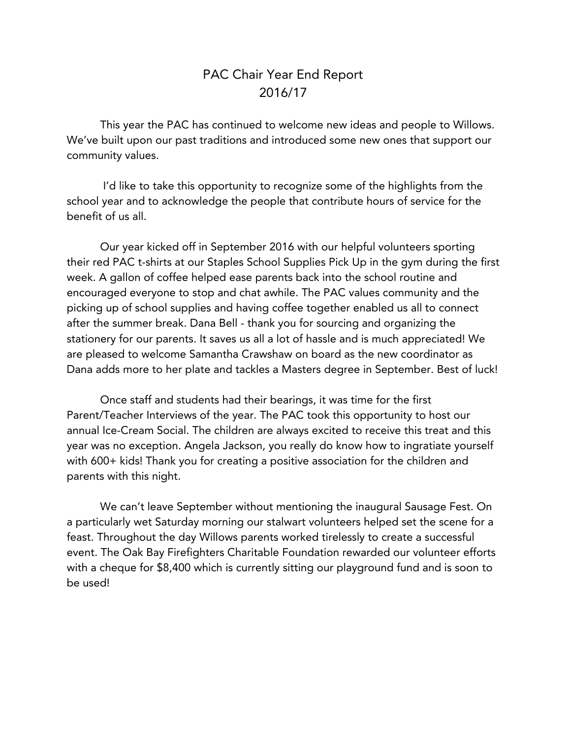## PAC Chair Year End Report 2016/17

This year the PAC has continued to welcome new ideas and people to Willows. We've built upon our past traditions and introduced some new ones that support our community values.

I'd like to take this opportunity to recognize some of the highlights from the school year and to acknowledge the people that contribute hours of service for the benefit of us all.

Our year kicked off in September 2016 with our helpful volunteers sporting their red PAC t-shirts at our Staples School Supplies Pick Up in the gym during the first week. A gallon of coffee helped ease parents back into the school routine and encouraged everyone to stop and chat awhile. The PAC values community and the picking up of school supplies and having coffee together enabled us all to connect after the summer break. Dana Bell - thank you for sourcing and organizing the stationery for our parents. It saves us all a lot of hassle and is much appreciated! We are pleased to welcome Samantha Crawshaw on board as the new coordinator as Dana adds more to her plate and tackles a Masters degree in September. Best of luck!

Once staff and students had their bearings, it was time for the first Parent/Teacher Interviews of the year. The PAC took this opportunity to host our annual Ice-Cream Social. The children are always excited to receive this treat and this year was no exception. Angela Jackson, you really do know how to ingratiate yourself with 600+ kids! Thank you for creating a positive association for the children and parents with this night.

We can't leave September without mentioning the inaugural Sausage Fest. On a particularly wet Saturday morning our stalwart volunteers helped set the scene for a feast. Throughout the day Willows parents worked tirelessly to create a successful event. The Oak Bay Firefighters Charitable Foundation rewarded our volunteer efforts with a cheque for \$8,400 which is currently sitting our playground fund and is soon to be used!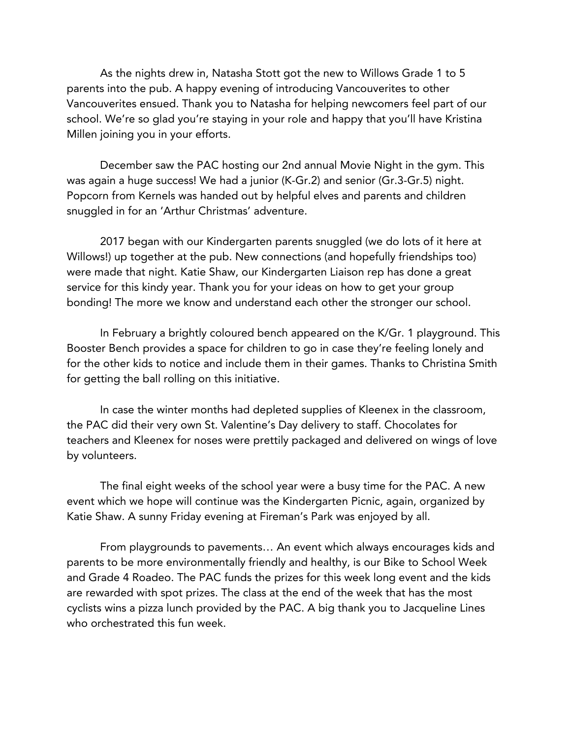As the nights drew in, Natasha Stott got the new to Willows Grade 1 to 5 parents into the pub. A happy evening of introducing Vancouverites to other Vancouverites ensued. Thank you to Natasha for helping newcomers feel part of our school. We're so glad you're staying in your role and happy that you'll have Kristina Millen joining you in your efforts.

December saw the PAC hosting our 2nd annual Movie Night in the gym. This was again a huge success! We had a junior (K-Gr.2) and senior (Gr.3-Gr.5) night. Popcorn from Kernels was handed out by helpful elves and parents and children snuggled in for an 'Arthur Christmas' adventure.

2017 began with our Kindergarten parents snuggled (we do lots of it here at Willows!) up together at the pub. New connections (and hopefully friendships too) were made that night. Katie Shaw, our Kindergarten Liaison rep has done a great service for this kindy year. Thank you for your ideas on how to get your group bonding! The more we know and understand each other the stronger our school.

In February a brightly coloured bench appeared on the K/Gr. 1 playground. This Booster Bench provides a space for children to go in case they're feeling lonely and for the other kids to notice and include them in their games. Thanks to Christina Smith for getting the ball rolling on this initiative.

In case the winter months had depleted supplies of Kleenex in the classroom, the PAC did their very own St. Valentine's Day delivery to staff. Chocolates for teachers and Kleenex for noses were prettily packaged and delivered on wings of love by volunteers.

The final eight weeks of the school year were a busy time for the PAC. A new event which we hope will continue was the Kindergarten Picnic, again, organized by Katie Shaw. A sunny Friday evening at Fireman's Park was enjoyed by all.

From playgrounds to pavements… An event which always encourages kids and parents to be more environmentally friendly and healthy, is our Bike to School Week and Grade 4 Roadeo. The PAC funds the prizes for this week long event and the kids are rewarded with spot prizes. The class at the end of the week that has the most cyclists wins a pizza lunch provided by the PAC. A big thank you to Jacqueline Lines who orchestrated this fun week.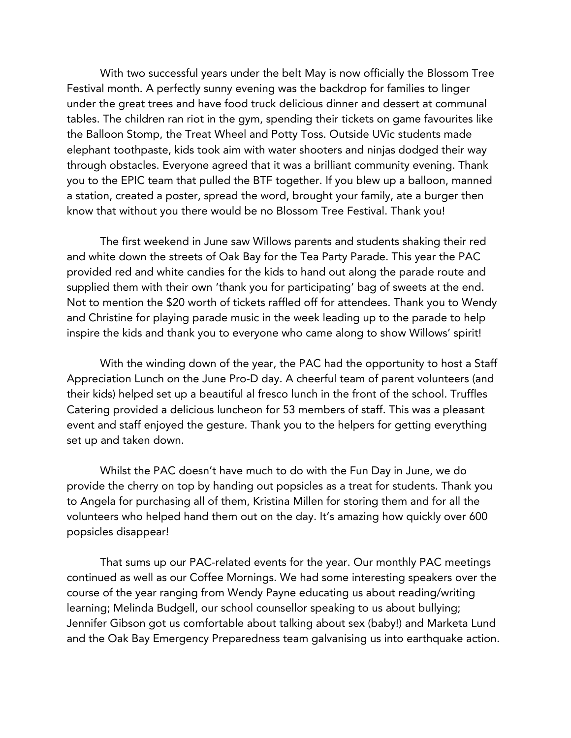With two successful years under the belt May is now officially the Blossom Tree Festival month. A perfectly sunny evening was the backdrop for families to linger under the great trees and have food truck delicious dinner and dessert at communal tables. The children ran riot in the gym, spending their tickets on game favourites like the Balloon Stomp, the Treat Wheel and Potty Toss. Outside UVic students made elephant toothpaste, kids took aim with water shooters and ninjas dodged their way through obstacles. Everyone agreed that it was a brilliant community evening. Thank you to the EPIC team that pulled the BTF together. If you blew up a balloon, manned a station, created a poster, spread the word, brought your family, ate a burger then know that without you there would be no Blossom Tree Festival. Thank you!

The first weekend in June saw Willows parents and students shaking their red and white down the streets of Oak Bay for the Tea Party Parade. This year the PAC provided red and white candies for the kids to hand out along the parade route and supplied them with their own 'thank you for participating' bag of sweets at the end. Not to mention the \$20 worth of tickets raffled off for attendees. Thank you to Wendy and Christine for playing parade music in the week leading up to the parade to help inspire the kids and thank you to everyone who came along to show Willows' spirit!

With the winding down of the year, the PAC had the opportunity to host a Staff Appreciation Lunch on the June Pro-D day. A cheerful team of parent volunteers (and their kids) helped set up a beautiful al fresco lunch in the front of the school. Truffles Catering provided a delicious luncheon for 53 members of staff. This was a pleasant event and staff enjoyed the gesture. Thank you to the helpers for getting everything set up and taken down.

Whilst the PAC doesn't have much to do with the Fun Day in June, we do provide the cherry on top by handing out popsicles as a treat for students. Thank you to Angela for purchasing all of them, Kristina Millen for storing them and for all the volunteers who helped hand them out on the day. It's amazing how quickly over 600 popsicles disappear!

That sums up our PAC-related events for the year. Our monthly PAC meetings continued as well as our Coffee Mornings. We had some interesting speakers over the course of the year ranging from Wendy Payne educating us about reading/writing learning; Melinda Budgell, our school counsellor speaking to us about bullying; Jennifer Gibson got us comfortable about talking about sex (baby!) and Marketa Lund and the Oak Bay Emergency Preparedness team galvanising us into earthquake action.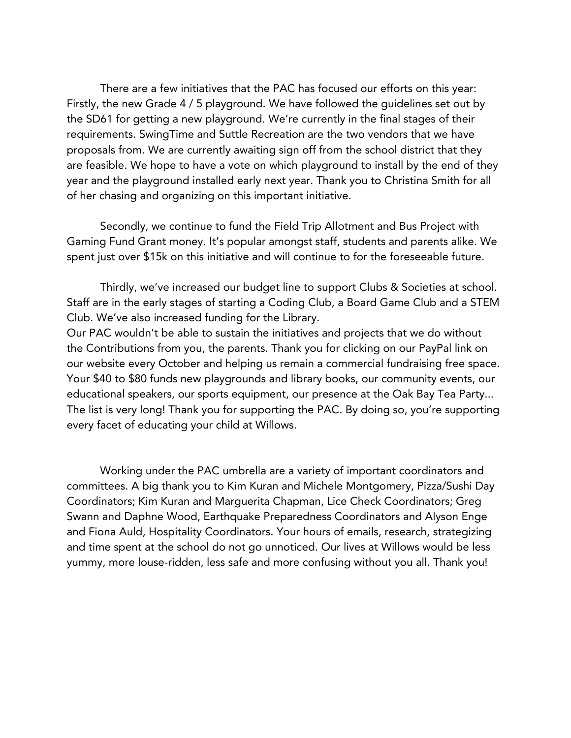There are a few initiatives that the PAC has focused our efforts on this year: Firstly, the new Grade 4 / 5 playground. We have followed the guidelines set out by the SD61 for getting a new playground. We're currently in the final stages of their requirements. SwingTime and Suttle Recreation are the two vendors that we have proposals from. We are currently awaiting sign off from the school district that they are feasible. We hope to have a vote on which playground to install by the end of they year and the playground installed early next year. Thank you to Christina Smith for all of her chasing and organizing on this important initiative.

Secondly, we continue to fund the Field Trip Allotment and Bus Project with Gaming Fund Grant money. It's popular amongst staff, students and parents alike. We spent just over \$15k on this initiative and will continue to for the foreseeable future.

Thirdly, we've increased our budget line to support Clubs & Societies at school. Staff are in the early stages of starting a Coding Club, a Board Game Club and a STEM Club. We've also increased funding for the Library.

Our PAC wouldn't be able to sustain the initiatives and projects that we do without the Contributions from you, the parents. Thank you for clicking on our PayPal link on our website every October and helping us remain a commercial fundraising free space. Your \$40 to \$80 funds new playgrounds and library books, our community events, our educational speakers, our sports equipment, our presence at the Oak Bay Tea Party... The list is very long! Thank you for supporting the PAC. By doing so, you're supporting every facet of educating your child at Willows.

Working under the PAC umbrella are a variety of important coordinators and committees. A big thank you to Kim Kuran and Michele Montgomery, Pizza/Sushi Day Coordinators; Kim Kuran and Marguerita Chapman, Lice Check Coordinators; Greg Swann and Daphne Wood, Earthquake Preparedness Coordinators and Alyson Enge and Fiona Auld, Hospitality Coordinators. Your hours of emails, research, strategizing and time spent at the school do not go unnoticed. Our lives at Willows would be less yummy, more louse-ridden, less safe and more confusing without you all. Thank you!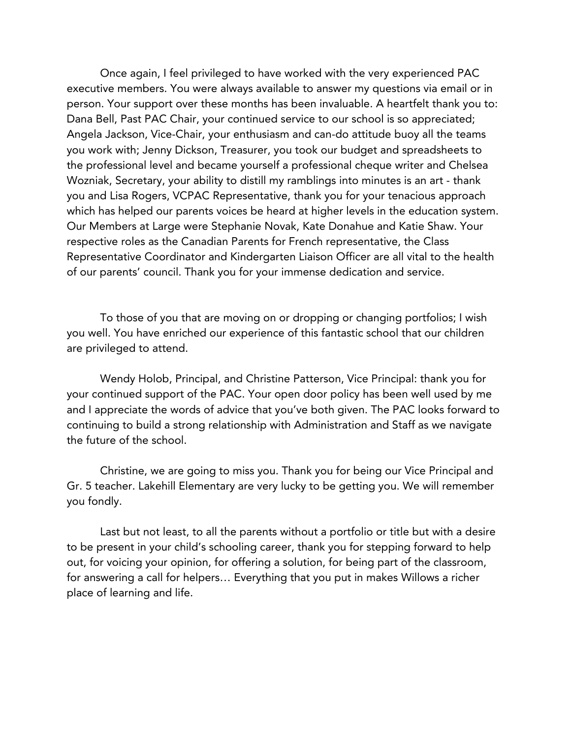Once again, I feel privileged to have worked with the very experienced PAC executive members. You were always available to answer my questions via email or in person. Your support over these months has been invaluable. A heartfelt thank you to: Dana Bell, Past PAC Chair, your continued service to our school is so appreciated; Angela Jackson, Vice-Chair, your enthusiasm and can-do attitude buoy all the teams you work with; Jenny Dickson, Treasurer, you took our budget and spreadsheets to the professional level and became yourself a professional cheque writer and Chelsea Wozniak, Secretary, your ability to distill my ramblings into minutes is an art - thank you and Lisa Rogers, VCPAC Representative, thank you for your tenacious approach which has helped our parents voices be heard at higher levels in the education system. Our Members at Large were Stephanie Novak, Kate Donahue and Katie Shaw. Your respective roles as the Canadian Parents for French representative, the Class Representative Coordinator and Kindergarten Liaison Officer are all vital to the health of our parents' council. Thank you for your immense dedication and service.

To those of you that are moving on or dropping or changing portfolios; I wish you well. You have enriched our experience of this fantastic school that our children are privileged to attend.

Wendy Holob, Principal, and Christine Patterson, Vice Principal: thank you for your continued support of the PAC. Your open door policy has been well used by me and I appreciate the words of advice that you've both given. The PAC looks forward to continuing to build a strong relationship with Administration and Staff as we navigate the future of the school.

Christine, we are going to miss you. Thank you for being our Vice Principal and Gr. 5 teacher. Lakehill Elementary are very lucky to be getting you. We will remember you fondly.

Last but not least, to all the parents without a portfolio or title but with a desire to be present in your child's schooling career, thank you for stepping forward to help out, for voicing your opinion, for offering a solution, for being part of the classroom, for answering a call for helpers… Everything that you put in makes Willows a richer place of learning and life.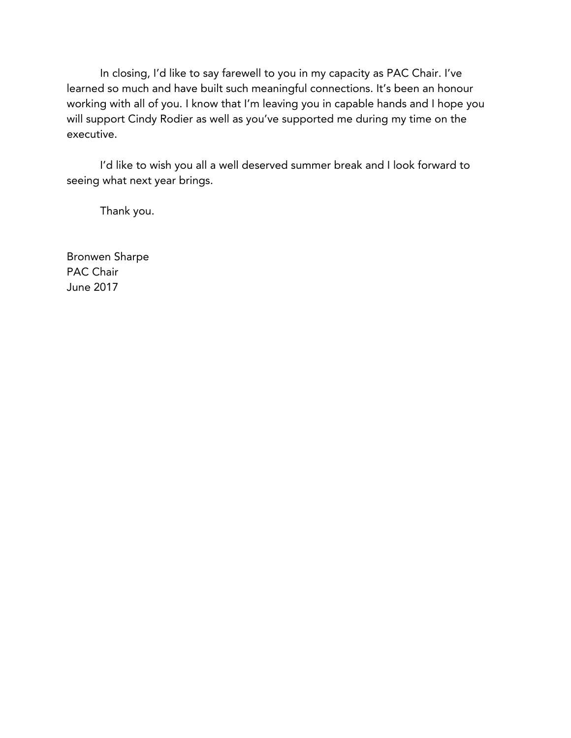In closing, I'd like to say farewell to you in my capacity as PAC Chair. I've learned so much and have built such meaningful connections. It's been an honour working with all of you. I know that I'm leaving you in capable hands and I hope you will support Cindy Rodier as well as you've supported me during my time on the executive.

I'd like to wish you all a well deserved summer break and I look forward to seeing what next year brings.

Thank you.

Bronwen Sharpe PAC Chair June 2017